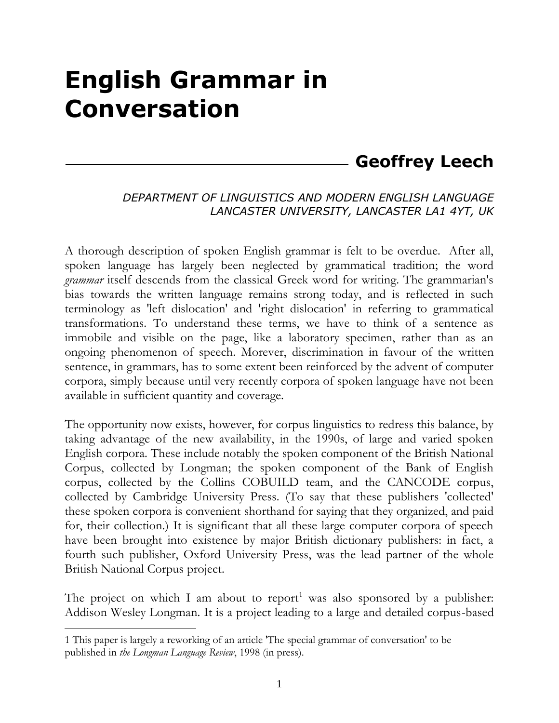# **English Grammar in Conversation**

## **Geoffrey Leech**

#### *DEPARTMENT OF LINGUISTICS AND MODERN ENGLISH LANGUAGE LANCASTER UNIVERSITY, LANCASTER LA1 4YT, UK*

A thorough description of spoken English grammar is felt to be overdue. After all, spoken language has largely been neglected by grammatical tradition; the word *grammar* itself descends from the classical Greek word for writing. The grammarian's bias towards the written language remains strong today, and is reflected in such terminology as 'left dislocation' and 'right dislocation' in referring to grammatical transformations. To understand these terms, we have to think of a sentence as immobile and visible on the page, like a laboratory specimen, rather than as an ongoing phenomenon of speech. Morever, discrimination in favour of the written sentence, in grammars, has to some extent been reinforced by the advent of computer corpora, simply because until very recently corpora of spoken language have not been available in sufficient quantity and coverage.

The opportunity now exists, however, for corpus linguistics to redress this balance, by taking advantage of the new availability, in the 1990s, of large and varied spoken English corpora. These include notably the spoken component of the British National Corpus, collected by Longman; the spoken component of the Bank of English corpus, collected by the Collins COBUILD team, and the CANCODE corpus, collected by Cambridge University Press. (To say that these publishers 'collected' these spoken corpora is convenient shorthand for saying that they organized, and paid for, their collection.) It is significant that all these large computer corpora of speech have been brought into existence by major British dictionary publishers: in fact, a fourth such publisher, Oxford University Press, was the lead partner of the whole British National Corpus project.

The project on which I am about to report<sup>1</sup> was also sponsored by a publisher: Addison Wesley Longman. It is a project leading to a large and detailed corpus-based

<sup>&</sup>lt;u>.</u> 1 This paper is largely a reworking of an article 'The special grammar of conversation' to be published in *the Longman Language Review*, 1998 (in press).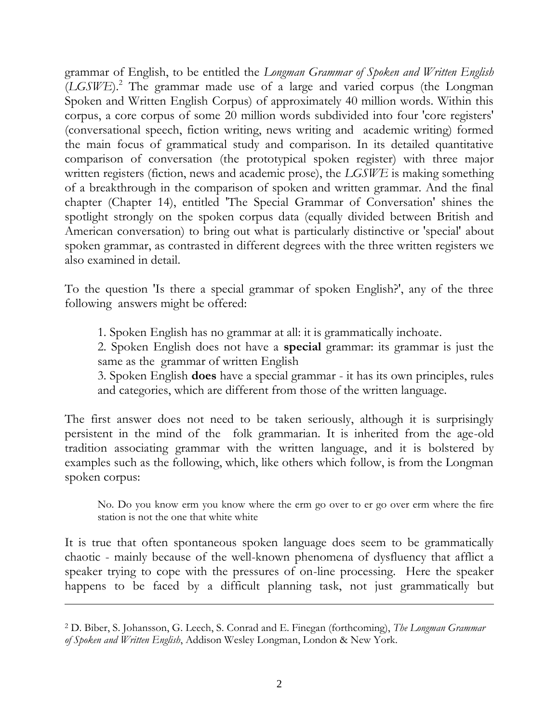grammar of English, to be entitled the *Longman Grammar of Spoken and Written English*  (*LGSWE*).<sup>2</sup> The grammar made use of a large and varied corpus (the Longman Spoken and Written English Corpus) of approximately 40 million words. Within this corpus, a core corpus of some 20 million words subdivided into four 'core registers' (conversational speech, fiction writing, news writing and academic writing) formed the main focus of grammatical study and comparison. In its detailed quantitative comparison of conversation (the prototypical spoken register) with three major written registers (fiction, news and academic prose), the *LGSWE* is making something of a breakthrough in the comparison of spoken and written grammar. And the final chapter (Chapter 14), entitled 'The Special Grammar of Conversation' shines the spotlight strongly on the spoken corpus data (equally divided between British and American conversation) to bring out what is particularly distinctive or 'special' about spoken grammar, as contrasted in different degrees with the three written registers we also examined in detail.

To the question 'Is there a special grammar of spoken English?', any of the three following answers might be offered:

1. Spoken English has no grammar at all: it is grammatically inchoate.

2. Spoken English does not have a **special** grammar: its grammar is just the same as the grammar of written English

3. Spoken English **does** have a special grammar - it has its own principles, rules and categories, which are different from those of the written language.

The first answer does not need to be taken seriously, although it is surprisingly persistent in the mind of the folk grammarian. It is inherited from the age-old tradition associating grammar with the written language, and it is bolstered by examples such as the following, which, like others which follow, is from the Longman spoken corpus:

No. Do you know erm you know where the erm go over to er go over erm where the fire station is not the one that white white

It is true that often spontaneous spoken language does seem to be grammatically chaotic - mainly because of the well-known phenomena of dysfluency that afflict a speaker trying to cope with the pressures of on-line processing. Here the speaker happens to be faced by a difficult planning task, not just grammatically but

<u>.</u>

<sup>2</sup> D. Biber, S. Johansson, G. Leech, S. Conrad and E. Finegan (forthcoming), *The Longman Grammar of Spoken and Written English*, Addison Wesley Longman, London & New York.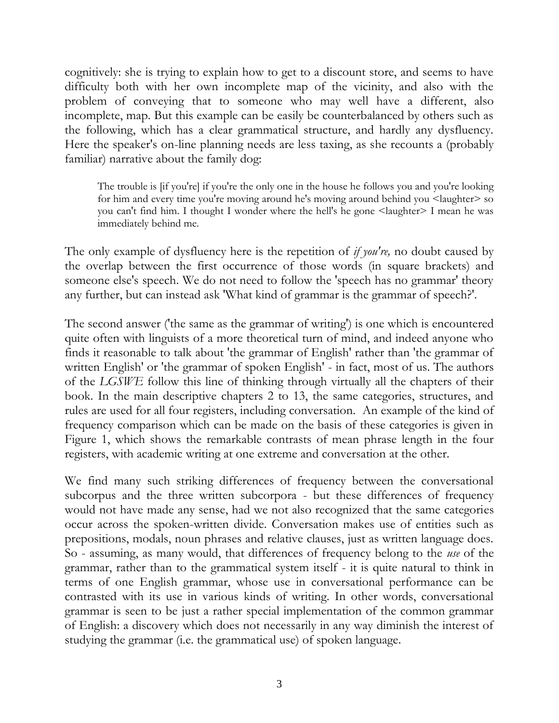cognitively: she is trying to explain how to get to a discount store, and seems to have difficulty both with her own incomplete map of the vicinity, and also with the problem of conveying that to someone who may well have a different, also incomplete, map. But this example can be easily be counterbalanced by others such as the following, which has a clear grammatical structure, and hardly any dysfluency. Here the speaker's on-line planning needs are less taxing, as she recounts a (probably familiar) narrative about the family dog:

The trouble is [if you're] if you're the only one in the house he follows you and you're looking for him and every time you're moving around he's moving around behind you <laughter> so you can't find him. I thought I wonder where the hell's he gone <laughter> I mean he was immediately behind me.

The only example of dysfluency here is the repetition of *if you're,* no doubt caused by the overlap between the first occurrence of those words (in square brackets) and someone else's speech. We do not need to follow the 'speech has no grammar' theory any further, but can instead ask 'What kind of grammar is the grammar of speech?'.

The second answer ('the same as the grammar of writing') is one which is encountered quite often with linguists of a more theoretical turn of mind, and indeed anyone who finds it reasonable to talk about 'the grammar of English' rather than 'the grammar of written English' or 'the grammar of spoken English' - in fact, most of us. The authors of the *LGSWE* follow this line of thinking through virtually all the chapters of their book. In the main descriptive chapters 2 to 13, the same categories, structures, and rules are used for all four registers, including conversation. An example of the kind of frequency comparison which can be made on the basis of these categories is given in Figure 1, which shows the remarkable contrasts of mean phrase length in the four registers, with academic writing at one extreme and conversation at the other.

We find many such striking differences of frequency between the conversational subcorpus and the three written subcorpora - but these differences of frequency would not have made any sense, had we not also recognized that the same categories occur across the spoken-written divide. Conversation makes use of entities such as prepositions, modals, noun phrases and relative clauses, just as written language does. So - assuming, as many would, that differences of frequency belong to the *use* of the grammar, rather than to the grammatical system itself - it is quite natural to think in terms of one English grammar, whose use in conversational performance can be contrasted with its use in various kinds of writing. In other words, conversational grammar is seen to be just a rather special implementation of the common grammar of English: a discovery which does not necessarily in any way diminish the interest of studying the grammar (i.e. the grammatical use) of spoken language.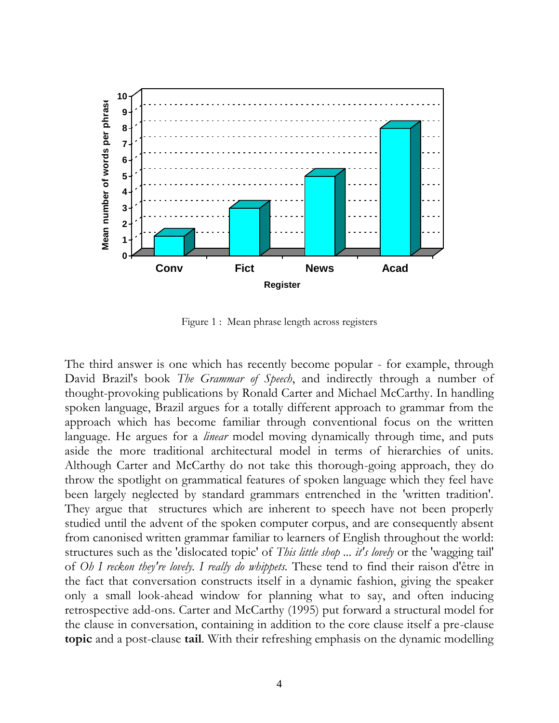

Figure 1 : Mean phrase length across registers

The third answer is one which has recently become popular - for example, through David Brazil's book *The Grammar of Speech*, and indirectly through a number of thought-provoking publications by Ronald Carter and Michael McCarthy. In handling spoken language, Brazil argues for a totally different approach to grammar from the approach which has become familiar through conventional focus on the written language. He argues for a *linear* model moving dynamically through time, and puts aside the more traditional architectural model in terms of hierarchies of units. Although Carter and McCarthy do not take this thorough-going approach, they do throw the spotlight on grammatical features of spoken language which they feel have been largely neglected by standard grammars entrenched in the 'written tradition'. They argue that structures which are inherent to speech have not been properly studied until the advent of the spoken computer corpus, and are consequently absent from canonised written grammar familiar to learners of English throughout the world: structures such as the 'dislocated topic' of *This little shop ... it's lovely* or the 'wagging tail' of *Oh I reckon they're lovely. I really do whippets.* These tend to find their raison d'être in the fact that conversation constructs itself in a dynamic fashion, giving the speaker only a small look-ahead window for planning what to say, and often inducing retrospective add-ons. Carter and McCarthy (1995) put forward a structural model for the clause in conversation, containing in addition to the core clause itself a pre-clause **topic** and a post-clause **tail**. With their refreshing emphasis on the dynamic modelling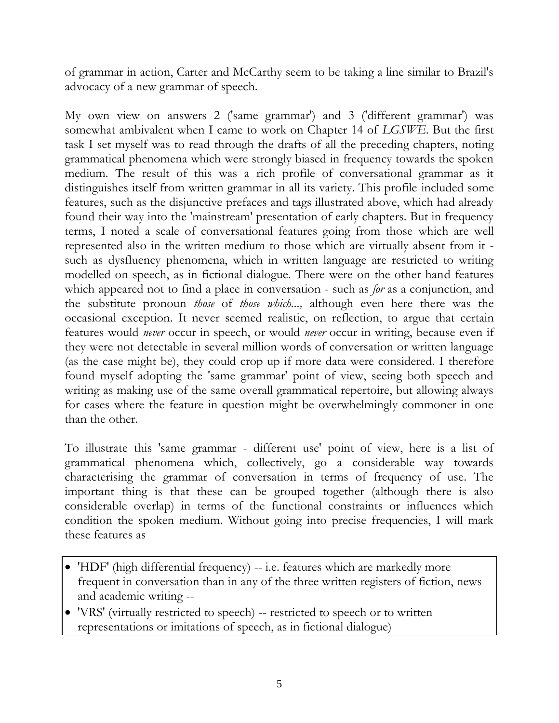of grammar in action, Carter and McCarthy seem to be taking a line similar to Brazil's advocacy of a new grammar of speech.

My own view on answers 2 ('same grammar') and 3 ('different grammar') was somewhat ambivalent when I came to work on Chapter 14 of *LGSWE*. But the first task I set myself was to read through the drafts of all the preceding chapters, noting grammatical phenomena which were strongly biased in frequency towards the spoken medium. The result of this was a rich profile of conversational grammar as it distinguishes itself from written grammar in all its variety. This profile included some features, such as the disjunctive prefaces and tags illustrated above, which had already found their way into the 'mainstream' presentation of early chapters. But in frequency terms, I noted a scale of conversational features going from those which are well represented also in the written medium to those which are virtually absent from it such as dysfluency phenomena, which in written language are restricted to writing modelled on speech, as in fictional dialogue. There were on the other hand features which appeared not to find a place in conversation - such as *for* as a conjunction, and the substitute pronoun *those* of *those which...,* although even here there was the occasional exception. It never seemed realistic, on reflection, to argue that certain features would *never* occur in speech, or would *never* occur in writing, because even if they were not detectable in several million words of conversation or written language (as the case might be), they could crop up if more data were considered. I therefore found myself adopting the 'same grammar' point of view, seeing both speech and writing as making use of the same overall grammatical repertoire, but allowing always for cases where the feature in question might be overwhelmingly commoner in one than the other.

To illustrate this 'same grammar - different use' point of view, here is a list of grammatical phenomena which, collectively, go a considerable way towards characterising the grammar of conversation in terms of frequency of use. The important thing is that these can be grouped together (although there is also considerable overlap) in terms of the functional constraints or influences which condition the spoken medium. Without going into precise frequencies, I will mark these features as

- 'HDF' (high differential frequency) -- i.e. features which are markedly more frequent in conversation than in any of the three written registers of fiction, news and academic writing --
- 'VRS' (virtually restricted to speech) -- restricted to speech or to written representations or imitations of speech, as in fictional dialogue)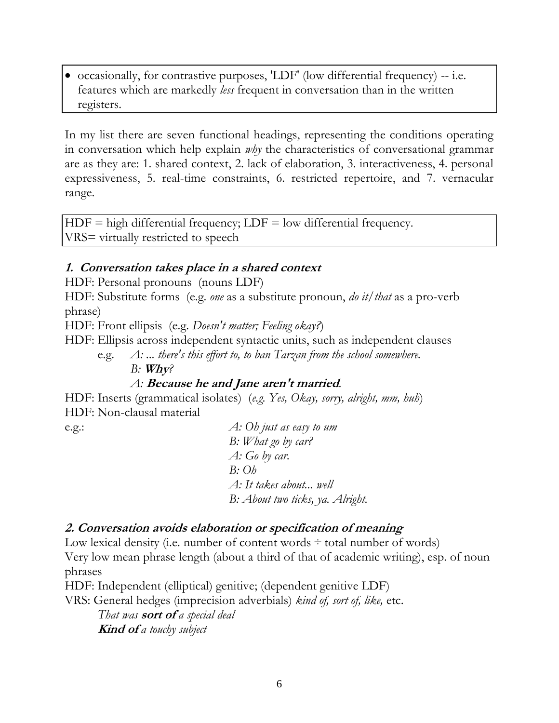$\bullet$  occasionally, for contrastive purposes, 'LDF' (low differential frequency) -- i.e. features which are markedly *less* frequent in conversation than in the written registers.

In my list there are seven functional headings, representing the conditions operating in conversation which help explain *why* the characteristics of conversational grammar are as they are: 1. shared context, 2. lack of elaboration, 3. interactiveness, 4. personal expressiveness, 5. real-time constraints, 6. restricted repertoire, and 7. vernacular range.

 $HDF = high\ differential\ frequency$ ;  $LDF = low\ differential\ frequency$ . VRS= virtually restricted to speech

#### **1. Conversation takes place in a shared context**

HDF: Personal pronouns (nouns LDF)

HDF: Substitute forms (e.g. *one* as a substitute pronoun, *do it/that* as a pro-verb phrase)

HDF: Front ellipsis (e.g. *Doesn't matter; Feeling okay?*)

HDF: Ellipsis across independent syntactic units, such as independent clauses

e.g. *A: ... there's this effort to, to ban Tarzan from the school somewhere.*

*B:* **Why***?*

#### *A:* **Because he and Jane aren't married***.*

HDF: Inserts (grammatical isolates) (*e.g. Yes, Okay, sorry, alright, mm, huh*) HDF: Non-clausal material

e.g.: *A: Oh just as easy to um B: What go by car? A: Go by car. B: Oh A: It takes about... well B: About two ticks, ya. Alright.*

#### **2. Conversation avoids elaboration or specification of meaning**

Low lexical density (i.e. number of content words  $\div$  total number of words) Very low mean phrase length (about a third of that of academic writing), esp. of noun phrases

HDF: Independent (elliptical) genitive; (dependent genitive LDF)

VRS: General hedges (imprecision adverbials) *kind of, sort of, like,* etc.

*That was* **sort of** *a special deal* **Kind of** *a touchy subject*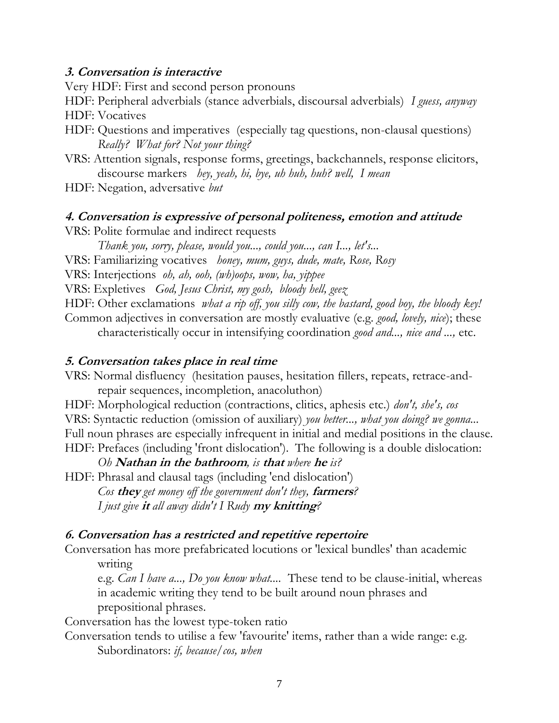#### **3. Conversation is interactive**

Very HDF: First and second person pronouns

HDF: Peripheral adverbials (stance adverbials, discoursal adverbials) *I guess, anyway* HDF: Vocatives

- HDF: Questions and imperatives (especially tag questions, non-clausal questions) *Really? What for? Not your thing?*
- VRS: Attention signals, response forms, greetings, backchannels, response elicitors, discourse markers *hey, yeah, hi, bye, uh huh, huh? well, I mean*
- HDF: Negation, adversative *but*

#### **4. Conversation is expressive of personal politeness, emotion and attitude**

VRS: Polite formulae and indirect requests

*Thank you, sorry, please, would you..., could you..., can I..., let's...*

VRS: Familiarizing vocatives *honey, mum, guys, dude, mate, Rose, Rosy*

VRS: Interjections *oh, ah, ooh, (wh)oops, wow, ha, yippee*

VRS: Expletives *God, Jesus Christ, my gosh, bloody hell, geez*

HDF: Other exclamations *what a rip off, you silly cow, the bastard, good boy, the bloody key!*

Common adjectives in conversation are mostly evaluative (e.g. *good, lovely, nice*); these characteristically occur in intensifying coordination *good and..., nice and ...,* etc.

#### **5. Conversation takes place in real time**

VRS: Normal disfluency (hesitation pauses, hesitation fillers, repeats, retrace-andrepair sequences, incompletion, anacoluthon)

HDF: Morphological reduction (contractions, clitics, aphesis etc.) *don't, she's, cos* VRS: Syntactic reduction (omission of auxiliary) *you better..., what you doing? we gonna...* Full noun phrases are especially infrequent in initial and medial positions in the clause. HDF: Prefaces (including 'front dislocation'). The following is a double dislocation:

*Oh* **Nathan in the bathroom***, is* **that** *where* **he** *is?*

HDF: Phrasal and clausal tags (including 'end dislocation') *Cos* **they** *get money off the government don't they,* **farmers***? I just give* **it** *all away didn't I Rudy* **my knitting***?*

#### **6. Conversation has a restricted and repetitive repertoire**

Conversation has more prefabricated locutions or 'lexical bundles' than academic

writing

e.g. *Can I have a..., Do you know what....* These tend to be clause-initial, whereas in academic writing they tend to be built around noun phrases and prepositional phrases.

Conversation has the lowest type-token ratio

Conversation tends to utilise a few 'favourite' items, rather than a wide range: e.g. Subordinators: *if, because/cos, when*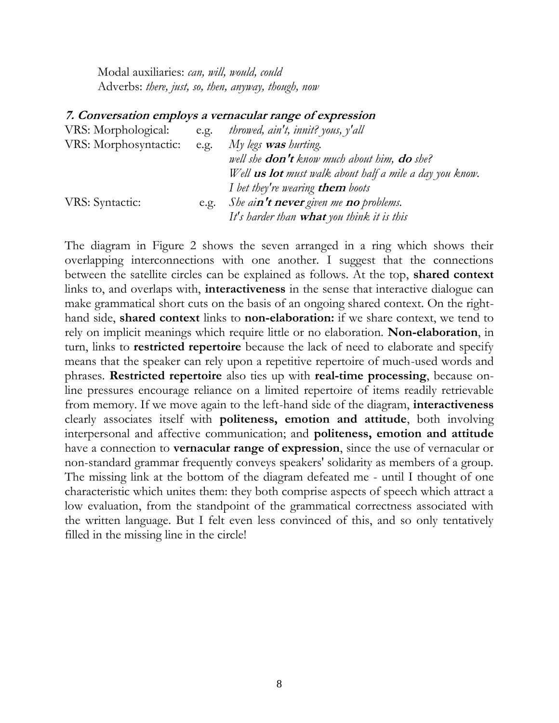Modal auxiliaries: *can, will, would, could* Adverbs: *there, just, so, then, anyway, though, now*

#### **7. Conversation employs a vernacular range of expression**

| VRS: Morphological:   | e.g. | throwed, ain't, innit? yous, y'all                             |
|-----------------------|------|----------------------------------------------------------------|
| VRS: Morphosyntactic: | e.g. | My legs <b>was</b> hurting.                                    |
|                       |      | well she <b>don't</b> know much about him, <b>do</b> she?      |
|                       |      | Well <b>us lot</b> must walk about half a mile a day you know. |
|                       |      | I bet they're wearing <b>them</b> boots                        |
| VRS: Syntactic:       | e.g. | She ain't never given me no problems.                          |
|                       |      | It's harder than <b>what</b> you think it is this              |

The diagram in Figure 2 shows the seven arranged in a ring which shows their overlapping interconnections with one another. I suggest that the connections between the satellite circles can be explained as follows. At the top, **shared context** links to, and overlaps with, **interactiveness** in the sense that interactive dialogue can make grammatical short cuts on the basis of an ongoing shared context. On the righthand side, **shared context** links to **non-elaboration:** if we share context, we tend to rely on implicit meanings which require little or no elaboration. **Non-elaboration**, in turn, links to **restricted repertoire** because the lack of need to elaborate and specify means that the speaker can rely upon a repetitive repertoire of much-used words and phrases. **Restricted repertoire** also ties up with **real-time processing**, because online pressures encourage reliance on a limited repertoire of items readily retrievable from memory. If we move again to the left-hand side of the diagram, **interactiveness** clearly associates itself with **politeness, emotion and attitude**, both involving interpersonal and affective communication; and **politeness, emotion and attitude** have a connection to **vernacular range of expression**, since the use of vernacular or non-standard grammar frequently conveys speakers' solidarity as members of a group. The missing link at the bottom of the diagram defeated me - until I thought of one characteristic which unites them: they both comprise aspects of speech which attract a low evaluation, from the standpoint of the grammatical correctness associated with the written language. But I felt even less convinced of this, and so only tentatively filled in the missing line in the circle!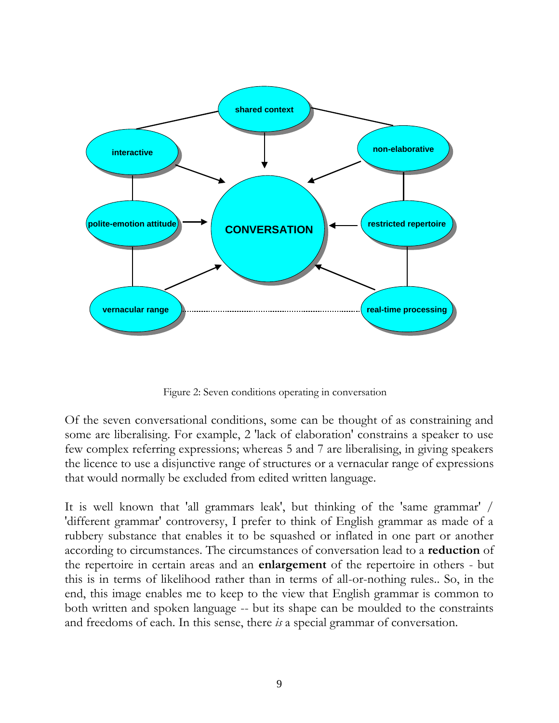

Figure 2: Seven conditions operating in conversation

Of the seven conversational conditions, some can be thought of as constraining and some are liberalising. For example, 2 'lack of elaboration' constrains a speaker to use few complex referring expressions; whereas 5 and 7 are liberalising, in giving speakers the licence to use a disjunctive range of structures or a vernacular range of expressions that would normally be excluded from edited written language.

It is well known that 'all grammars leak', but thinking of the 'same grammar' / 'different grammar' controversy, I prefer to think of English grammar as made of a rubbery substance that enables it to be squashed or inflated in one part or another according to circumstances. The circumstances of conversation lead to a **reduction** of the repertoire in certain areas and an **enlargement** of the repertoire in others - but this is in terms of likelihood rather than in terms of all-or-nothing rules.. So, in the end, this image enables me to keep to the view that English grammar is common to both written and spoken language -- but its shape can be moulded to the constraints and freedoms of each. In this sense, there *is* a special grammar of conversation.